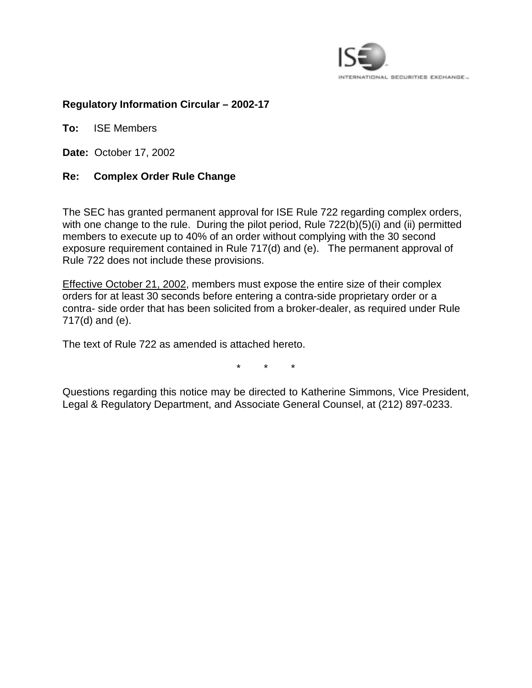

## **Regulatory Information Circular – 2002-17**

**To:** ISE Members

**Date:** October 17, 2002

## **Re: Complex Order Rule Change**

The SEC has granted permanent approval for ISE Rule 722 regarding complex orders, with one change to the rule. During the pilot period, Rule 722(b)(5)(i) and (ii) permitted members to execute up to 40% of an order without complying with the 30 second exposure requirement contained in Rule 717(d) and (e). The permanent approval of Rule 722 does not include these provisions.

Effective October 21, 2002, members must expose the entire size of their complex orders for at least 30 seconds before entering a contra-side proprietary order or a contra- side order that has been solicited from a broker-dealer, as required under Rule 717(d) and (e).

The text of Rule 722 as amended is attached hereto.

\* \* \*

Questions regarding this notice may be directed to Katherine Simmons, Vice President, Legal & Regulatory Department, and Associate General Counsel, at (212) 897-0233.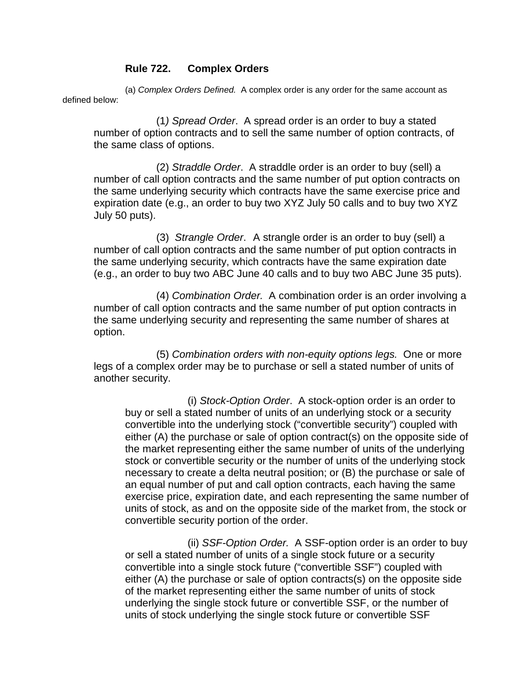## **Rule 722. Complex Orders**

 (a) *Complex Orders Defined.* A complex order is any order for the same account as defined below:

 (1*) Spread Order*. A spread order is an order to buy a stated number of option contracts and to sell the same number of option contracts, of the same class of options.

 (2) *Straddle Order*. A straddle order is an order to buy (sell) a number of call option contracts and the same number of put option contracts on the same underlying security which contracts have the same exercise price and expiration date (e.g., an order to buy two XYZ July 50 calls and to buy two XYZ July 50 puts).

 (3) *Strangle Order*. A strangle order is an order to buy (sell) a number of call option contracts and the same number of put option contracts in the same underlying security, which contracts have the same expiration date (e.g., an order to buy two ABC June 40 calls and to buy two ABC June 35 puts).

 (4) *Combination Order.* A combination order is an order involving a number of call option contracts and the same number of put option contracts in the same underlying security and representing the same number of shares at option.

(5) *Combination orders with non-equity options legs.* One or more legs of a complex order may be to purchase or sell a stated number of units of another security.

(i) *Stock-Option Order*. A stock-option order is an order to buy or sell a stated number of units of an underlying stock or a security convertible into the underlying stock ("convertible security") coupled with either (A) the purchase or sale of option contract(s) on the opposite side of the market representing either the same number of units of the underlying stock or convertible security or the number of units of the underlying stock necessary to create a delta neutral position; or (B) the purchase or sale of an equal number of put and call option contracts, each having the same exercise price, expiration date, and each representing the same number of units of stock, as and on the opposite side of the market from, the stock or convertible security portion of the order.

(ii) *SSF-Option Order.* A SSF-option order is an order to buy or sell a stated number of units of a single stock future or a security convertible into a single stock future ("convertible SSF") coupled with either (A) the purchase or sale of option contracts(s) on the opposite side of the market representing either the same number of units of stock underlying the single stock future or convertible SSF, or the number of units of stock underlying the single stock future or convertible SSF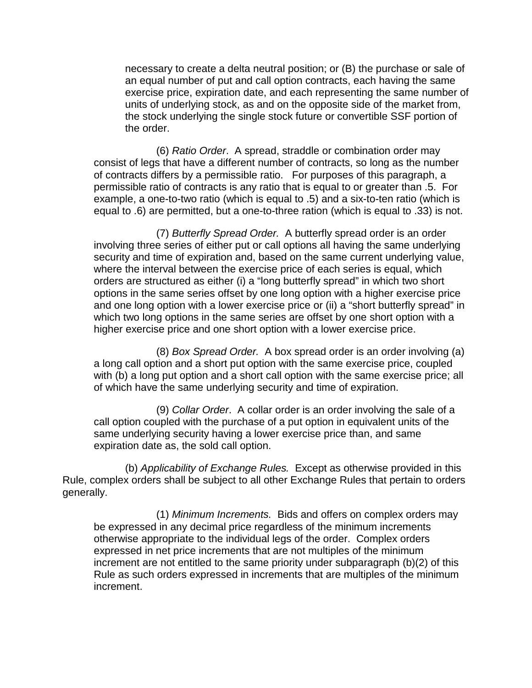necessary to create a delta neutral position; or (B) the purchase or sale of an equal number of put and call option contracts, each having the same exercise price, expiration date, and each representing the same number of units of underlying stock, as and on the opposite side of the market from, the stock underlying the single stock future or convertible SSF portion of the order.

 (6) *Ratio Order*. A spread, straddle or combination order may consist of legs that have a different number of contracts, so long as the number of contracts differs by a permissible ratio. For purposes of this paragraph, a permissible ratio of contracts is any ratio that is equal to or greater than .5. For example, a one-to-two ratio (which is equal to .5) and a six-to-ten ratio (which is equal to .6) are permitted, but a one-to-three ration (which is equal to .33) is not.

 (7) *Butterfly Spread Order.* A butterfly spread order is an order involving three series of either put or call options all having the same underlying security and time of expiration and, based on the same current underlying value, where the interval between the exercise price of each series is equal, which orders are structured as either (i) a "long butterfly spread" in which two short options in the same series offset by one long option with a higher exercise price and one long option with a lower exercise price or (ii) a "short butterfly spread" in which two long options in the same series are offset by one short option with a higher exercise price and one short option with a lower exercise price.

 (8) *Box Spread Order.* A box spread order is an order involving (a) a long call option and a short put option with the same exercise price, coupled with (b) a long put option and a short call option with the same exercise price; all of which have the same underlying security and time of expiration.

 (9) *Collar Order*. A collar order is an order involving the sale of a call option coupled with the purchase of a put option in equivalent units of the same underlying security having a lower exercise price than, and same expiration date as, the sold call option.

(b) *Applicability of Exchange Rules.* Except as otherwise provided in this Rule, complex orders shall be subject to all other Exchange Rules that pertain to orders generally.

(1) *Minimum Increments.* Bids and offers on complex orders may be expressed in any decimal price regardless of the minimum increments otherwise appropriate to the individual legs of the order. Complex orders expressed in net price increments that are not multiples of the minimum increment are not entitled to the same priority under subparagraph (b)(2) of this Rule as such orders expressed in increments that are multiples of the minimum increment.